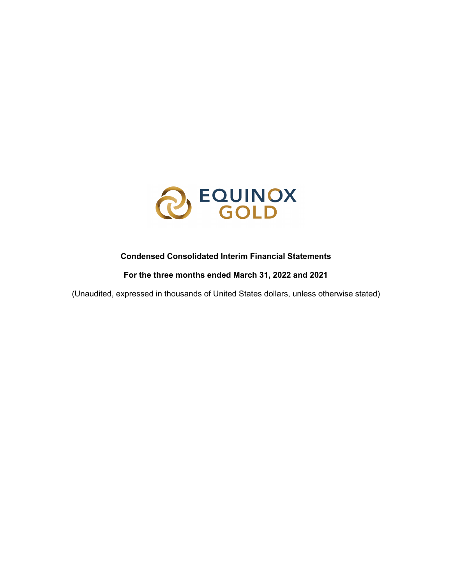

### **Condensed Consolidated Interim Financial Statements**

**For the three months ended March 31, 2022 and 2021**

(Unaudited, expressed in thousands of United States dollars, unless otherwise stated)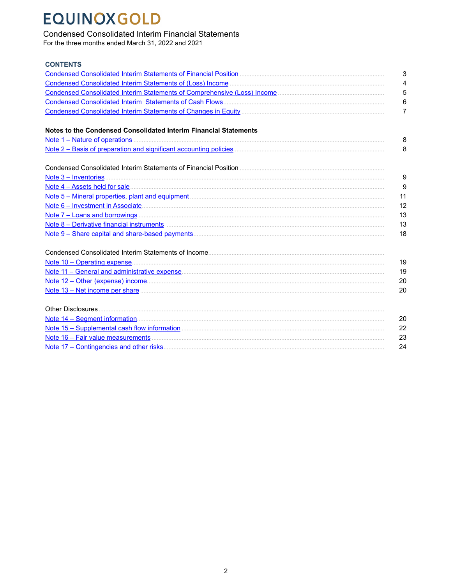### **Condensed Consolidated Interim Financial Statements**

For the three months ended March 31, 2022 and 2021

| <b>CONTENTS</b>                                                                                                                                                                                                                      |    |
|--------------------------------------------------------------------------------------------------------------------------------------------------------------------------------------------------------------------------------------|----|
|                                                                                                                                                                                                                                      | 3  |
|                                                                                                                                                                                                                                      | 4  |
|                                                                                                                                                                                                                                      | 5  |
|                                                                                                                                                                                                                                      | 6  |
|                                                                                                                                                                                                                                      | 7  |
| Notes to the Condensed Consolidated Interim Financial Statements                                                                                                                                                                     |    |
|                                                                                                                                                                                                                                      | 8  |
|                                                                                                                                                                                                                                      | 8  |
|                                                                                                                                                                                                                                      |    |
|                                                                                                                                                                                                                                      | g  |
|                                                                                                                                                                                                                                      | 9  |
|                                                                                                                                                                                                                                      | 11 |
|                                                                                                                                                                                                                                      | 12 |
|                                                                                                                                                                                                                                      | 13 |
|                                                                                                                                                                                                                                      | 13 |
|                                                                                                                                                                                                                                      | 18 |
|                                                                                                                                                                                                                                      |    |
| Note 10 - Operating expense <u>contained and a series of the series of the series of the series of the series of the series of the series of the series of the series of the series of the series of the series of the series of</u> | 19 |
|                                                                                                                                                                                                                                      | 19 |
| Note 12 – Other (expense) income material and contract the state of the state of the state of the state of the state of the state of the state of the state of the state of the state of the state of the state of the state o       | 20 |
| Note 13 – Net income per share <b>contract the contract of the state of the state of the state of the state of the state of the state of the state of the state of the state of the state of the state of the state of the state</b> | 20 |
|                                                                                                                                                                                                                                      |    |
|                                                                                                                                                                                                                                      | 20 |
|                                                                                                                                                                                                                                      | 22 |
|                                                                                                                                                                                                                                      | 23 |
|                                                                                                                                                                                                                                      | 24 |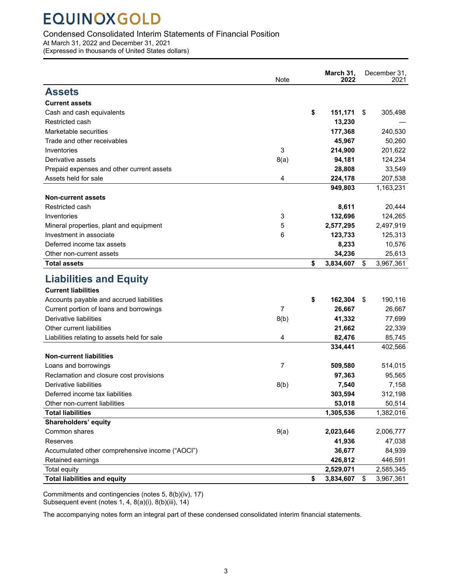### <span id="page-2-0"></span>Condensed Consolidated Interim Statements of Financial Position

At March 31, 2022 and December 31, 2021

(Expressed in thousands of United States dollars)

|                                                 | Note           | March 31,<br>2022 | December 31.<br>2021 |
|-------------------------------------------------|----------------|-------------------|----------------------|
| <b>Assets</b>                                   |                |                   |                      |
| <b>Current assets</b>                           |                |                   |                      |
| Cash and cash equivalents                       |                | \$<br>151,171     | \$<br>305,498        |
| Restricted cash                                 |                | 13,230            |                      |
| Marketable securities                           |                | 177,368           | 240,530              |
| Trade and other receivables                     |                | 45,967            | 50,260               |
| Inventories                                     | 3              | 214,900           | 201,622              |
| Derivative assets                               | 8(a)           | 94,181            | 124,234              |
| Prepaid expenses and other current assets       |                | 28,808            | 33,549               |
| Assets held for sale                            | 4              | 224,178           | 207,538              |
|                                                 |                | 949,803           | 1,163,231            |
| <b>Non-current assets</b>                       |                |                   |                      |
| Restricted cash                                 |                | 8,611             | 20,444               |
| Inventories                                     | 3              | 132,696           | 124,265              |
| Mineral properties, plant and equipment         | 5              | 2,577,295         | 2,497,919            |
| Investment in associate                         | 6              | 123,733           | 125,313              |
| Deferred income tax assets                      |                | 8,233             | 10,576               |
| Other non-current assets                        |                | 34,236            | 25,613               |
| <b>Total assets</b>                             |                | \$<br>3,834,607   | \$<br>3,967,361      |
| <b>Liabilities and Equity</b>                   |                |                   |                      |
| <b>Current liabilities</b>                      |                |                   |                      |
| Accounts payable and accrued liabilities        |                | \$<br>162,304     | \$<br>190,116        |
| Current portion of loans and borrowings         | $\overline{7}$ | 26,667            | 26,667               |
| Derivative liabilities                          | 8(b)           | 41,332            | 77,699               |
| Other current liabilities                       |                | 21,662            | 22,339               |
| Liabilities relating to assets held for sale    | 4              | 82,476            | 85,745               |
|                                                 |                | 334,441           | 402,566              |
| <b>Non-current liabilities</b>                  |                |                   |                      |
| Loans and borrowings                            | 7              | 509,580           | 514,015              |
| Reclamation and closure cost provisions         |                | 97,363            | 95,565               |
| Derivative liabilities                          | 8(b)           | 7,540             | 7,158                |
| Deferred income tax liabilities                 |                | 303,594           | 312,198              |
| Other non-current liabilities                   |                | 53,018            | 50,514               |
| <b>Total liabilities</b>                        |                | 1,305,536         | 1,382,016            |
| <b>Shareholders' equity</b>                     |                |                   |                      |
| Common shares                                   | 9(a)           | 2,023,646         | 2,006,777            |
| Reserves                                        |                | 41,936            | 47,038               |
| Accumulated other comprehensive income ("AOCI") |                | 36,677            | 84,939               |
| Retained earnings                               |                | 426,812           | 446,591              |
| Total equity                                    |                | 2,529,071         | 2,585,345            |
| <b>Total liabilities and equity</b>             |                | \$<br>3,834,607   | \$<br>3,967,361      |

Commitments and contingencies (notes 5, 8(b)(iv), 17) Subsequent event (notes 1, 4, 8(a)(i), 8(b)(iii), 14)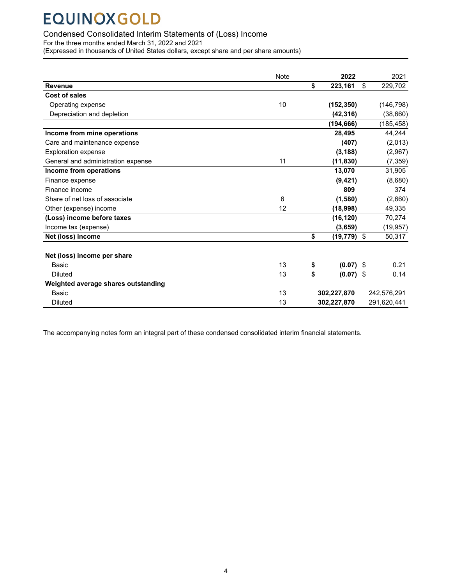### <span id="page-3-0"></span>Condensed Consolidated Interim Statements of (Loss) Income

For the three months ended March 31, 2022 and 2021

(Expressed in thousands of United States dollars, except share and per share amounts)

|                                     | <b>Note</b> | 2022              | 2021          |
|-------------------------------------|-------------|-------------------|---------------|
| <b>Revenue</b>                      |             | \$<br>223,161     | \$<br>229,702 |
| Cost of sales                       |             |                   |               |
| Operating expense                   | 10          | (152, 350)        | (146, 798)    |
| Depreciation and depletion          |             | (42, 316)         | (38, 660)     |
|                                     |             | (194,666)         | (185, 458)    |
| Income from mine operations         |             | 28,495            | 44,244        |
| Care and maintenance expense        |             | (407)             | (2,013)       |
| <b>Exploration expense</b>          |             | (3, 188)          | (2,967)       |
| General and administration expense  | 11          | (11, 830)         | (7, 359)      |
| Income from operations              |             | 13,070            | 31,905        |
| Finance expense                     |             | (9, 421)          | (8,680)       |
| Finance income                      |             | 809               | 374           |
| Share of net loss of associate      | 6           | (1,580)           | (2,660)       |
| Other (expense) income              | 12          | (18,998)          | 49,335        |
| (Loss) income before taxes          |             | (16, 120)         | 70,274        |
| Income tax (expense)                |             | (3,659)           | (19, 957)     |
| Net (loss) income                   |             | \$<br>(19,779)    | \$<br>50,317  |
|                                     |             |                   |               |
| Net (loss) income per share         |             |                   |               |
| Basic                               | 13          | \$<br>$(0.07)$ \$ | 0.21          |
| <b>Diluted</b>                      | 13          | \$<br>$(0.07)$ \$ | 0.14          |
| Weighted average shares outstanding |             |                   |               |
| Basic                               | 13          | 302,227,870       | 242,576,291   |
| <b>Diluted</b>                      | 13          | 302,227,870       | 291,620,441   |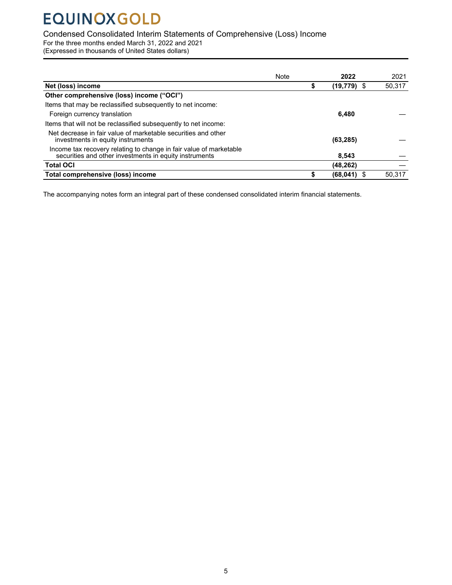### <span id="page-4-0"></span>Condensed Consolidated Interim Statements of Comprehensive (Loss) Income

For the three months ended March 31, 2022 and 2021

(Expressed in thousands of United States dollars)

|                                                                                                                              | Note | 2022        | 2021   |
|------------------------------------------------------------------------------------------------------------------------------|------|-------------|--------|
| Net (loss) income                                                                                                            |      | (19,779) \$ | 50,317 |
| Other comprehensive (loss) income ("OCI")                                                                                    |      |             |        |
| Items that may be reclassified subsequently to net income:                                                                   |      |             |        |
| Foreign currency translation                                                                                                 |      | 6.480       |        |
| Items that will not be reclassified subsequently to net income:                                                              |      |             |        |
| Net decrease in fair value of marketable securities and other<br>investments in equity instruments                           |      | (63, 285)   |        |
| Income tax recovery relating to change in fair value of marketable<br>securities and other investments in equity instruments |      | 8.543       |        |
| <b>Total OCI</b>                                                                                                             |      | (48, 262)   |        |
| Total comprehensive (loss) income                                                                                            |      | (68, 041)   | 50.317 |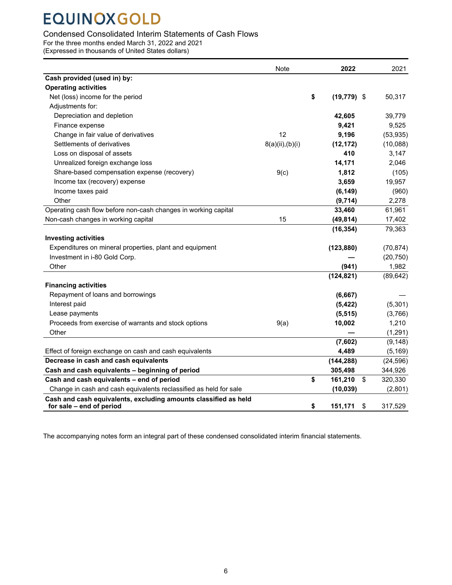### <span id="page-5-0"></span>Condensed Consolidated Interim Statements of Cash Flows

For the three months ended March 31, 2022 and 2021

(Expressed in thousands of United States dollars)

|                                                                                             | <b>Note</b>     | 2022           | 2021          |
|---------------------------------------------------------------------------------------------|-----------------|----------------|---------------|
| Cash provided (used in) by:                                                                 |                 |                |               |
| <b>Operating activities</b>                                                                 |                 |                |               |
| Net (loss) income for the period                                                            | \$              | $(19, 779)$ \$ | 50,317        |
| Adjustments for:                                                                            |                 |                |               |
| Depreciation and depletion                                                                  |                 | 42,605         | 39,779        |
| Finance expense                                                                             |                 | 9,421          | 9,525         |
| Change in fair value of derivatives                                                         | 12              | 9,196          | (53, 935)     |
| Settlements of derivatives                                                                  | 8(a)(ii),(b)(i) | (12, 172)      | (10,088)      |
| Loss on disposal of assets                                                                  |                 | 410            | 3,147         |
| Unrealized foreign exchange loss                                                            |                 | 14,171         | 2,046         |
| Share-based compensation expense (recovery)                                                 | 9(c)            | 1,812          | (105)         |
| Income tax (recovery) expense                                                               |                 | 3,659          | 19,957        |
| Income taxes paid                                                                           |                 | (6, 149)       | (960)         |
| Other                                                                                       |                 | (9,714)        | 2,278         |
| Operating cash flow before non-cash changes in working capital                              |                 | 33,460         | 61,961        |
| Non-cash changes in working capital                                                         | 15              | (49, 814)      | 17,402        |
|                                                                                             |                 | (16, 354)      | 79,363        |
| <b>Investing activities</b>                                                                 |                 |                |               |
| Expenditures on mineral properties, plant and equipment                                     |                 | (123, 880)     | (70, 874)     |
| Investment in i-80 Gold Corp.                                                               |                 |                | (20, 750)     |
| Other                                                                                       |                 | (941)          | 1,982         |
|                                                                                             |                 | (124, 821)     | (89, 642)     |
| <b>Financing activities</b>                                                                 |                 |                |               |
| Repayment of loans and borrowings                                                           |                 | (6,667)        |               |
| Interest paid                                                                               |                 | (5, 422)       | (5, 301)      |
| Lease payments                                                                              |                 | (5, 515)       | (3,766)       |
| Proceeds from exercise of warrants and stock options                                        | 9(a)            | 10,002         | 1,210         |
| Other                                                                                       |                 |                | (1, 291)      |
|                                                                                             |                 | (7,602)        | (9, 148)      |
| Effect of foreign exchange on cash and cash equivalents                                     |                 | 4,489          | (5, 169)      |
| Decrease in cash and cash equivalents                                                       |                 | (144, 288)     | (24, 596)     |
| Cash and cash equivalents - beginning of period                                             |                 | 305,498        | 344,926       |
| Cash and cash equivalents - end of period                                                   | \$              | 161,210        | \$<br>320,330 |
| Change in cash and cash equivalents reclassified as held for sale                           |                 | (10, 039)      | (2,801)       |
| Cash and cash equivalents, excluding amounts classified as held<br>for sale - end of period | \$              | 151,171        | \$<br>317,529 |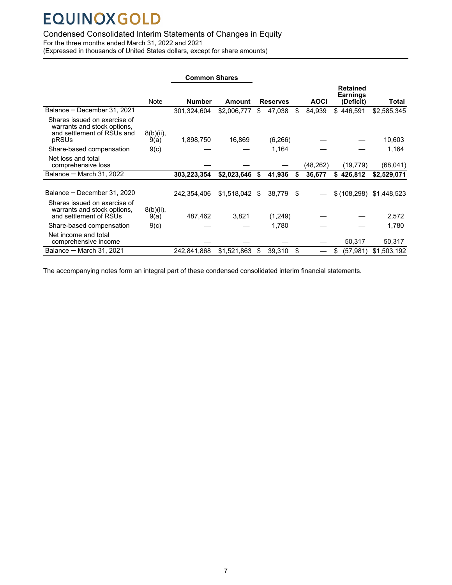### <span id="page-6-0"></span>Condensed Consolidated Interim Statements of Changes in Equity

For the three months ended March 31, 2022 and 2021

(Expressed in thousands of United States dollars, except for share amounts)

|                                                                                                    |                      | <b>Common Shares</b> |                 |    |                 |    |             |                                                 |             |
|----------------------------------------------------------------------------------------------------|----------------------|----------------------|-----------------|----|-----------------|----|-------------|-------------------------------------------------|-------------|
|                                                                                                    | <b>Note</b>          | <b>Number</b>        | Amount          |    | <b>Reserves</b> |    | <b>AOCI</b> | <b>Retained</b><br><b>Earnings</b><br>(Deficit) | Total       |
| Balance - December 31, 2021                                                                        |                      | 301,324,604          | \$2,006,777     | \$ | 47,038          | \$ | 84,939      | \$446.591                                       | \$2,585,345 |
| Shares issued on exercise of<br>warrants and stock options,<br>and settlement of RSUs and<br>pRSUs | $8(b)(ii)$ ,<br>9(a) | 1,898,750            | 16,869          |    | (6, 266)        |    |             |                                                 | 10,603      |
| Share-based compensation                                                                           | 9(c)                 |                      |                 |    | 1,164           |    |             |                                                 | 1,164       |
| Net loss and total<br>comprehensive loss                                                           |                      |                      |                 |    |                 |    | (48, 262)   | (19, 779)                                       | (68, 041)   |
| Balance $-$ March 31, 2022                                                                         |                      | 303,223,354          | \$2,023,646     | S  | 41,936          | S  | 36,677      | \$426,812                                       | \$2,529,071 |
| Balance - December 31, 2020                                                                        |                      | 242.354.406          | $$1,518,042$ \$ |    | 38,779 \$       |    |             | \$(108,298)                                     | \$1,448,523 |
| Shares issued on exercise of<br>warrants and stock options,<br>and settlement of RSUs              | $8(b)(ii)$ ,<br>9(a) | 487,462              | 3,821           |    | (1,249)         |    |             |                                                 | 2,572       |
| Share-based compensation                                                                           | 9(c)                 |                      |                 |    | 1,780           |    |             |                                                 | 1,780       |
| Net income and total<br>comprehensive income                                                       |                      |                      |                 |    |                 |    |             | 50,317                                          | 50,317      |
| Balance $-$ March 31, 2021                                                                         |                      | 242,841,868          | \$1,521,863     | \$ | 39,310          | \$ |             | \$<br>(57,981)                                  | \$1,503,192 |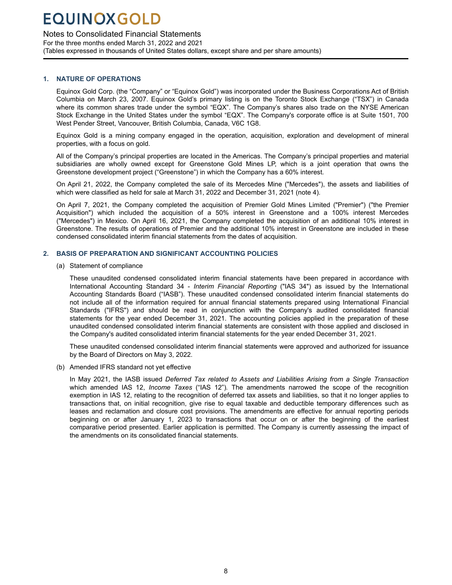### <span id="page-7-0"></span>Notes to Consolidated Financial Statements

For the three months ended March 31, 2022 and 2021 (Tables expressed in thousands of United States dollars, except share and per share amounts)

#### **1. NATURE OF OPERATIONS**

Mine

Equinox Gold Corp. (the "Company" or "Equinox Gold") was incorporated under the Business Corporations Act of British Columbia on March 23, 2007. Equinox Gold's primary listing is on the Toronto Stock Exchange ("TSX") in Canada where its common shares trade under the symbol "EQX". The Company's shares also trade on the NYSE American Stock Exchange in the United States under the symbol "EQX". The Company's corporate office is at Suite 1501, 700 West Pender Street, Vancouver, British Columbia, Canada, V6C 1G8.

Equinox Gold is a mining company engaged in the operation, acquisition, exploration and development of mineral properties, with a focus on gold.

All of the Company's principal properties are located in the Americas. The Company's principal properties and material subsidiaries are wholly owned except for Greenstone Gold Mines LP, which is a joint operation that owns the Greenstone development project ("Greenstone") in which the Company has a 60% interest.

On April 21, 2022, the Company completed the sale of its Mercedes Mine ("Mercedes"), the assets and liabilities of which were classified as held for sale at March 31, 2022 and December 31, 2021 (note 4).

On April 7, 2021, the Company completed the acquisition of Premier Gold Mines Limited ("Premier") ("the Premier Acquisition") which included the acquisition of a 50% interest in Greenstone and a 100% interest Mercedes ("Mercedes") in Mexico. On April 16, 2021, the Company completed the acquisition of an additional 10% interest in Greenstone. The results of operations of Premier and the additional 10% interest in Greenstone are included in these condensed consolidated interim financial statements from the dates of acquisition.

#### **2. BASIS OF PREPARATION AND SIGNIFICANT ACCOUNTING POLICIES**

(a) Statement of compliance

These unaudited condensed consolidated interim financial statements have been prepared in accordance with International Accounting Standard 34 - *Interim Financial Reporting* ("IAS 34") as issued by the International Accounting Standards Board ("IASB"). These unaudited condensed consolidated interim financial statements do not include all of the information required for annual financial statements prepared using International Financial Standards ("IFRS") and should be read in conjunction with the Company's audited consolidated financial statements for the year ended December 31, 2021. The accounting policies applied in the preparation of these unaudited condensed consolidated interim financial statements are consistent with those applied and disclosed in the Company's audited consolidated interim financial statements for the year ended December 31, 2021.

These unaudited condensed consolidated interim financial statements were approved and authorized for issuance by the Board of Directors on May 3, 2022.

(b) Amended IFRS standard not yet effective

In May 2021, the IASB issued *Deferred Tax related to Assets and Liabilities Arising from a Single Transaction*  which amended IAS 12, *Income Taxes* ("IAS 12")*.* The amendments narrowed the scope of the recognition exemption in IAS 12, relating to the recognition of deferred tax assets and liabilities, so that it no longer applies to transactions that, on initial recognition, give rise to equal taxable and deductible temporary differences such as leases and reclamation and closure cost provisions. The amendments are effective for annual reporting periods beginning on or after January 1, 2023 to transactions that occur on or after the beginning of the earliest comparative period presented. Earlier application is permitted. The Company is currently assessing the impact of the amendments on its consolidated financial statements.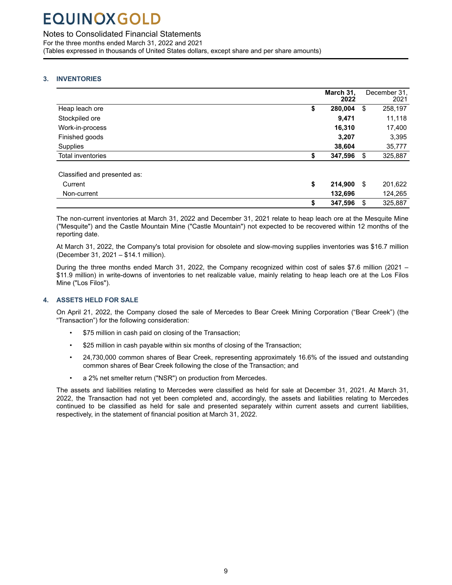<span id="page-8-0"></span>Notes to Consolidated Financial Statements

For the three months ended March 31, 2022 and 2021 (Tables expressed in thousands of United States dollars, except share and per share amounts)

### **3. INVENTORIES**

Mine

|                                                        | March 31,<br>2022           |    | December 31.<br>2021 |
|--------------------------------------------------------|-----------------------------|----|----------------------|
| Heap leach ore                                         | \$<br>280,004               | \$ | 258,197              |
| Stockpiled ore                                         | 9,471                       |    | 11,118               |
| Work-in-process                                        | 16,310                      |    | 17,400               |
| Finished goods                                         | 3,207                       |    | 3,395                |
| Supplies                                               | 38,604                      |    | 35,777               |
| <b>Total inventories</b>                               | \$<br>347,596               | S  | 325,887              |
| Classified and presented as:<br>Current<br>Non-current | \$<br>214,900 \$<br>132,696 |    | 201,622<br>124,265   |
|                                                        | \$<br>347,596               | \$ | 325,887              |

The non-current inventories at March 31, 2022 and December 31, 2021 relate to heap leach ore at the Mesquite Mine ("Mesquite") and the Castle Mountain Mine ("Castle Mountain") not expected to be recovered within 12 months of the reporting date.

At March 31, 2022, the Company's total provision for obsolete and slow-moving supplies inventories was \$16.7 million (December 31, 2021 – \$14.1 million).

During the three months ended March 31, 2022, the Company recognized within cost of sales \$7.6 million (2021 – \$11.9 million) in write-downs of inventories to net realizable value, mainly relating to heap leach ore at the Los Filos Mine ("Los Filos").

### **4. ASSETS HELD FOR SALE**

On April 21, 2022, the Company closed the sale of Mercedes to Bear Creek Mining Corporation ("Bear Creek") (the "Transaction") for the following consideration:

- \$75 million in cash paid on closing of the Transaction;
- \$25 million in cash payable within six months of closing of the Transaction;
- 24,730,000 common shares of Bear Creek, representing approximately 16.6% of the issued and outstanding common shares of Bear Creek following the close of the Transaction; and
- a 2% net smelter return ("NSR") on production from Mercedes.

The assets and liabilities relating to Mercedes were classified as held for sale at December 31, 2021. At March 31, 2022, the Transaction had not yet been completed and, accordingly, the assets and liabilities relating to Mercedes continued to be classified as held for sale and presented separately within current assets and current liabilities, respectively, in the statement of financial position at March 31, 2022.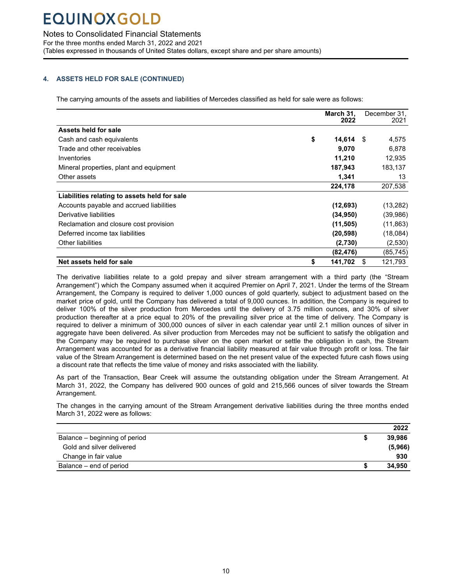Mine

Notes to Consolidated Financial Statements

For the three months ended March 31, 2022 and 2021 (Tables expressed in thousands of United States dollars, except share and per share amounts)

### **4. ASSETS HELD FOR SALE (CONTINUED)**

The carrying amounts of the assets and liabilities of Mercedes classified as held for sale were as follows:

|                                              | March 31,<br>2022 | December 31,<br>2021 |
|----------------------------------------------|-------------------|----------------------|
| Assets held for sale                         |                   |                      |
| Cash and cash equivalents                    | \$<br>14,614      | 4,575<br>- \$        |
| Trade and other receivables                  | 9,070             | 6,878                |
| Inventories                                  | 11,210            | 12,935               |
| Mineral properties, plant and equipment      | 187,943           | 183,137              |
| Other assets                                 | 1,341             | 13                   |
|                                              | 224,178           | 207,538              |
| Liabilities relating to assets held for sale |                   |                      |
| Accounts payable and accrued liabilities     | (12, 693)         | (13,282)             |
| Derivative liabilities                       | (34,950)          | (39,986)             |
| Reclamation and closure cost provision       | (11, 505)         | (11, 863)            |
| Deferred income tax liabilities              | (20, 598)         | (18,084)             |
| Other liabilities                            | (2,730)           | (2,530)              |
|                                              | (82,476)          | (85, 745)            |
| Net assets held for sale                     | \$<br>141,702     | 121,793<br>\$        |

The derivative liabilities relate to a gold prepay and silver stream arrangement with a third party (the "Stream Arrangement") which the Company assumed when it acquired Premier on April 7, 2021. Under the terms of the Stream Arrangement, the Company is required to deliver 1,000 ounces of gold quarterly, subject to adjustment based on the market price of gold, until the Company has delivered a total of 9,000 ounces. In addition, the Company is required to deliver 100% of the silver production from Mercedes until the delivery of 3.75 million ounces, and 30% of silver production thereafter at a price equal to 20% of the prevailing silver price at the time of delivery. The Company is required to deliver a minimum of 300,000 ounces of silver in each calendar year until 2.1 million ounces of silver in aggregate have been delivered. As silver production from Mercedes may not be sufficient to satisfy the obligation and the Company may be required to purchase silver on the open market or settle the obligation in cash, the Stream Arrangement was accounted for as a derivative financial liability measured at fair value through profit or loss. The fair value of the Stream Arrangement is determined based on the net present value of the expected future cash flows using a discount rate that reflects the time value of money and risks associated with the liability.

As part of the Transaction, Bear Creek will assume the outstanding obligation under the Stream Arrangement. At March 31, 2022, the Company has delivered 900 ounces of gold and 215,566 ounces of silver towards the Stream Arrangement.

The changes in the carrying amount of the Stream Arrangement derivative liabilities during the three months ended March 31, 2022 were as follows:

|                               | 2022    |
|-------------------------------|---------|
| Balance – beginning of period | 39.986  |
| Gold and silver delivered     | (5,966) |
| Change in fair value          | 930     |
| Balance – end of period       | 34,950  |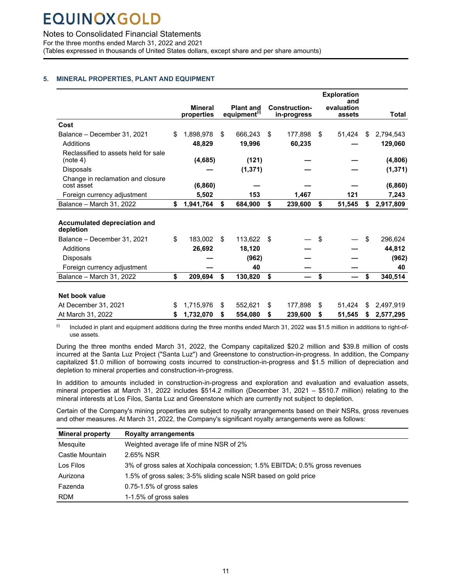Mine

<span id="page-10-0"></span>Notes to Consolidated Financial Statements

For the three months ended March 31, 2022 and 2021 (Tables expressed in thousands of United States dollars, except share and per share amounts)

### **5. MINERAL PROPERTIES, PLANT AND EQUIPMENT**

|                                                  |                 |                          |    |                      | <b>Exploration</b> |                 |
|--------------------------------------------------|-----------------|--------------------------|----|----------------------|--------------------|-----------------|
|                                                  | <b>Mineral</b>  | <b>Plant and</b>         |    | <b>Construction-</b> | and<br>evaluation  |                 |
|                                                  | properties      | equipment <sup>(i)</sup> |    | in-progress          | assets             | <b>Total</b>    |
| Cost                                             |                 |                          |    |                      |                    |                 |
| Balance - December 31, 2021                      | \$<br>1,898,978 | \$<br>666,243            | S  | 177.898              | \$<br>51,424       | \$<br>2,794,543 |
| Additions                                        | 48,829          | 19,996                   |    | 60,235               |                    | 129,060         |
| Reclassified to assets held for sale<br>(note 4) | (4,685)         | (121)                    |    |                      |                    | (4,806)         |
| <b>Disposals</b>                                 |                 | (1, 371)                 |    |                      |                    | (1, 371)        |
| Change in reclamation and closure<br>cost asset  | (6, 860)        |                          |    |                      |                    | (6, 860)        |
| Foreign currency adjustment                      | 5,502           | 153                      |    | 1,467                | 121                | 7,243           |
| Balance - March 31, 2022                         | \$<br>1,941,764 | \$<br>684,900            | \$ | 239,600              | \$<br>51,545       | \$<br>2,917,809 |
| Accumulated depreciation and<br>depletion        |                 |                          |    |                      |                    |                 |
| Balance - December 31, 2021                      | \$<br>183.002   | \$<br>113.622            | \$ |                      | \$                 | \$<br>296.624   |
| Additions                                        | 26,692          | 18,120                   |    |                      |                    | 44.812          |
| <b>Disposals</b>                                 |                 | (962)                    |    |                      |                    | (962)           |
| Foreign currency adjustment                      |                 | 40                       |    |                      |                    | 40              |
| Balance - March 31, 2022                         | \$<br>209,694   | \$<br>130,820            | \$ |                      | \$                 | \$<br>340,514   |
|                                                  |                 |                          |    |                      |                    |                 |
| Net book value                                   |                 |                          |    |                      |                    |                 |
| At December 31, 2021                             | \$<br>1,715,976 | \$<br>552.621            | \$ | 177.898              | \$<br>51.424       | \$<br>2,497,919 |
| At March 31, 2022                                | \$<br>1,732,070 | \$<br>554,080            | \$ | 239,600              | \$<br>51,545       | \$<br>2,577,295 |

 $^{(i)}$  Included in plant and equipment additions during the three months ended March 31, 2022 was \$1.5 million in additions to right-ofuse assets.

During the three months ended March 31, 2022, the Company capitalized \$20.2 million and \$39.8 million of costs incurred at the Santa Luz Project ("Santa Luz") and Greenstone to construction-in-progress. In addition, the Company capitalized \$1.0 million of borrowing costs incurred to construction-in-progress and \$1.5 million of depreciation and depletion to mineral properties and construction-in-progress.

In addition to amounts included in construction-in-progress and exploration and evaluation and evaluation assets, mineral properties at March 31, 2022 includes \$514.2 million (December 31, 2021 – \$510.7 million) relating to the mineral interests at Los Filos, Santa Luz and Greenstone which are currently not subject to depletion.

Certain of the Company's mining properties are subject to royalty arrangements based on their NSRs, gross revenues and other measures. At March 31, 2022, the Company's significant royalty arrangements were as follows:

| <b>Mineral property</b> | <b>Royalty arrangements</b>                                                 |
|-------------------------|-----------------------------------------------------------------------------|
| Mesquite                | Weighted average life of mine NSR of 2%                                     |
| Castle Mountain         | 2.65% NSR                                                                   |
| Los Filos               | 3% of gross sales at Xochipala concession; 1.5% EBITDA; 0.5% gross revenues |
| Aurizona                | 1.5% of gross sales; 3-5% sliding scale NSR based on gold price             |
| Fazenda                 | $0.75-1.5\%$ of gross sales                                                 |
| <b>RDM</b>              | 1-1.5% of gross sales                                                       |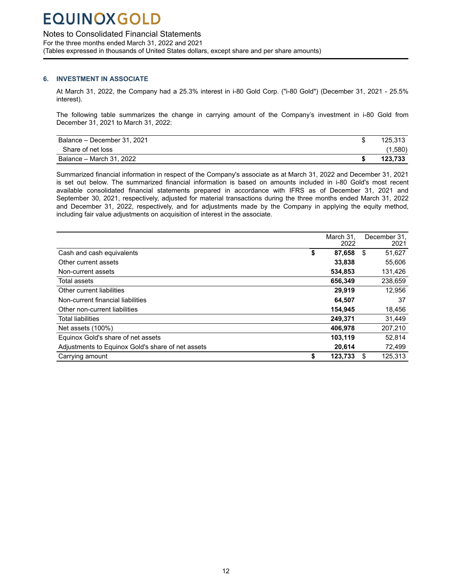### <span id="page-11-0"></span>Notes to Consolidated Financial Statements

For the three months ended March 31, 2022 and 2021 (Tables expressed in thousands of United States dollars, except share and per share amounts)

#### **6. INVESTMENT IN ASSOCIATE**

Mine

At March 31, 2022, the Company had a 25.3% interest in i-80 Gold Corp. ("i-80 Gold") (December 31, 2021 - 25.5% interest).

The following table summarizes the change in carrying amount of the Company's investment in i-80 Gold from December 31, 2021 to March 31, 2022:

| Balance – December 31, 2021 | 125.313 |
|-----------------------------|---------|
| Share of net loss           | (1,580) |
| Balance – March 31, 2022    | 123.733 |

Summarized financial information in respect of the Company's associate as at March 31, 2022 and December 31, 2021 is set out below. The summarized financial information is based on amounts included in i-80 Gold's most recent available consolidated financial statements prepared in accordance with IFRS as of December 31, 2021 and September 30, 2021, respectively, adjusted for material transactions during the three months ended March 31, 2022 and December 31, 2022, respectively, and for adjustments made by the Company in applying the equity method, including fair value adjustments on acquisition of interest in the associate.

|                                                   | March 31.<br>2022 |   | December 31.<br>2021 |
|---------------------------------------------------|-------------------|---|----------------------|
| Cash and cash equivalents                         | \$<br>87.658      | S | 51,627               |
| Other current assets                              | 33,838            |   | 55,606               |
| Non-current assets                                | 534,853           |   | 131,426              |
| Total assets                                      | 656,349           |   | 238,659              |
| Other current liabilities                         | 29,919            |   | 12,956               |
| Non-current financial liabilities                 | 64.507            |   | 37                   |
| Other non-current liabilities                     | 154,945           |   | 18,456               |
| <b>Total liabilities</b>                          | 249,371           |   | 31,449               |
| Net assets (100%)                                 | 406.978           |   | 207,210              |
| Equinox Gold's share of net assets                | 103,119           |   | 52.814               |
| Adjustments to Equinox Gold's share of net assets | 20,614            |   | 72,499               |
| Carrying amount                                   | \$<br>123,733     |   | 125,313              |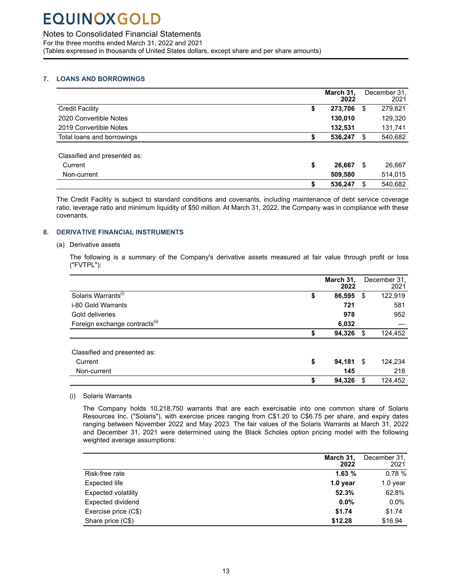<span id="page-12-0"></span>Notes to Consolidated Financial Statements

For the three months ended March 31, 2022 and 2021 (Tables expressed in thousands of United States dollars, except share and per share amounts)

### **7. LOANS AND BORROWINGS**

Mine

|                              |    | March 31,<br>2022 | December 31.<br>2021 |
|------------------------------|----|-------------------|----------------------|
| <b>Credit Facility</b>       | \$ | 273,706           | \$<br>279,621        |
| 2020 Convertible Notes       |    | 130,010           | 129,320              |
| 2019 Convertible Notes       |    | 132,531           | 131,741              |
| Total loans and borrowings   | S  | 536,247           | \$<br>540,682        |
|                              |    |                   |                      |
| Classified and presented as: |    |                   |                      |
| Current                      | \$ | 26,667            | \$<br>26,667         |
| Non-current                  |    | 509,580           | 514,015              |
|                              | S  | 536,247           | 540,682              |

The Credit Facility is subject to standard conditions and covenants, including maintenance of debt service coverage ratio, leverage ratio and minimum liquidity of \$50 million. At March 31, 2022, the Company was in compliance with these covenants.

### **8. DERIVATIVE FINANCIAL INSTRUMENTS**

#### (a) Derivative assets

The following is a summary of the Company's derivative assets measured at fair value through profit or loss ("FVTPL"):

|                                            | March 31,<br>2022 |     | December 31,<br>2021 |
|--------------------------------------------|-------------------|-----|----------------------|
| Solaris Warrants <sup>(i)</sup><br>\$      | 86,595            | \$  | 122,919              |
| i-80 Gold Warrants                         | 721               |     | 581                  |
| Gold deliveries                            | 978               |     | 952                  |
| Foreign exchange contracts <sup>(ii)</sup> | 6,032             |     |                      |
|                                            | 94,326            | S   | 124,452              |
| Classified and presented as:               |                   |     |                      |
| \$<br>Current                              | 94,181            | -\$ | 124,234              |
| Non-current                                | 145               |     | 218                  |
| \$                                         | 94,326            | \$. | 124,452              |

(i) Solaris Warrants

The Company holds 10,218,750 warrants that are each exercisable into one common share of Solaris Resources Inc. ("Solaris"), with exercise prices ranging from C\$1.20 to C\$6.75 per share, and expiry dates ranging between November 2022 and May 2023. The fair values of the Solaris Warrants at March 31, 2022 and December 31, 2021 were determined using the Black Scholes option pricing model with the following weighted average assumptions:

|                      | March 31.<br>2022 | December 31,<br>2021 |
|----------------------|-------------------|----------------------|
| Risk-free rate       | 1.63%             | 0.78%                |
| Expected life        | $1.0$ year        | $1.0$ year           |
| Expected volatility  | 52.3%             | 62.8%                |
| Expected dividend    | $0.0\%$           | $0.0\%$              |
| Exercise price (C\$) | \$1.74            | \$1.74               |
| Share price (C\$)    | \$12.28           | \$16.94              |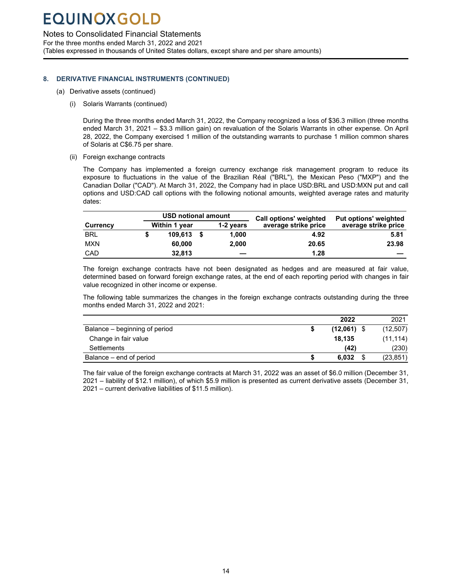Mine

Notes to Consolidated Financial Statements

For the three months ended March 31, 2022 and 2021 (Tables expressed in thousands of United States dollars, except share and per share amounts)

### **8. DERIVATIVE FINANCIAL INSTRUMENTS (CONTINUED)**

- (a) Derivative assets (continued)
	- (i) Solaris Warrants (continued)

During the three months ended March 31, 2022, the Company recognized a loss of \$36.3 million (three months ended March 31, 2021 – \$3.3 million gain) on revaluation of the Solaris Warrants in other expense. On April 28, 2022, the Company exercised 1 million of the outstanding warrants to purchase 1 million common shares of Solaris at C\$6.75 per share.

(ii) Foreign exchange contracts

The Company has implemented a foreign currency exchange risk management program to reduce its exposure to fluctuations in the value of the Brazilian Réal ("BRL"), the Mexican Peso ("MXP") and the Canadian Dollar ("CAD"). At March 31, 2022, the Company had in place USD:BRL and USD:MXN put and call options and USD:CAD call options with the following notional amounts, weighted average rates and maturity dates:

|                 | <b>USD notional amount</b> |  |           | <b>Call options' weighted</b> | Put options' weighted |  |  |
|-----------------|----------------------------|--|-----------|-------------------------------|-----------------------|--|--|
| <b>Currency</b> | Within 1 year              |  | 1-2 years | average strike price          | average strike price  |  |  |
| <b>BRL</b>      | $109.613$ \$               |  | 1.000     | 4.92                          | 5.81                  |  |  |
| <b>MXN</b>      | 60,000                     |  | 2.000     | 20.65                         | 23.98                 |  |  |
| CAD             | 32.813                     |  |           | 1.28                          |                       |  |  |

The foreign exchange contracts have not been designated as hedges and are measured at fair value, determined based on forward foreign exchange rates, at the end of each reporting period with changes in fair value recognized in other income or expense.

The following table summarizes the changes in the foreign exchange contracts outstanding during the three months ended March 31, 2022 and 2021:

|                               | 2022          | 2021      |
|-------------------------------|---------------|-----------|
| Balance – beginning of period | $(12,061)$ \$ | (12, 507) |
| Change in fair value          | 18.135        | (11, 114) |
| Settlements                   | (42)          | (230)     |
| Balance – end of period       | 6.032         | (23, 851) |

The fair value of the foreign exchange contracts at March 31, 2022 was an asset of \$6.0 million (December 31, 2021 – liability of \$12.1 million), of which \$5.9 million is presented as current derivative assets (December 31, 2021 – current derivative liabilities of \$11.5 million).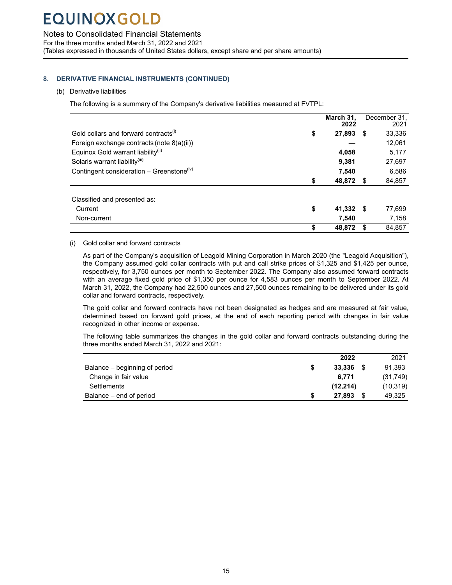Notes to Consolidated Financial Statements

For the three months ended March 31, 2022 and 2021 (Tables expressed in thousands of United States dollars, except share and per share amounts)

### **8. DERIVATIVE FINANCIAL INSTRUMENTS (CONTINUED)**

#### (b) Derivative liabilities

Mine

The following is a summary of the Company's derivative liabilities measured at FVTPL:

|                                                       | March 31,<br>2022 |      | December 31.<br>2021 |
|-------------------------------------------------------|-------------------|------|----------------------|
| Gold collars and forward contracts <sup>(1)</sup>     | \$<br>27,893      | \$   | 33,336               |
| Foreign exchange contracts (note 8(a)(ii))            |                   |      | 12.061               |
| Equinox Gold warrant liability <sup>(ii)</sup>        | 4.058             |      | 5.177                |
| Solaris warrant liability <sup>(iii)</sup>            | 9.381             |      | 27,697               |
| Contingent consideration - Greenstone <sup>(iv)</sup> | 7.540             |      | 6,586                |
|                                                       | \$<br>48,872      | S    | 84,857               |
| Classified and presented as:                          |                   |      |                      |
| Current                                               | \$<br>41,332      | - \$ | 77,699               |
| Non-current                                           | 7.540             |      | 7,158                |
|                                                       | \$<br>48.872      |      | 84.857               |

#### (i) Gold collar and forward contracts

As part of the Company's acquisition of Leagold Mining Corporation in March 2020 (the "Leagold Acquisition"), the Company assumed gold collar contracts with put and call strike prices of \$1,325 and \$1,425 per ounce, respectively, for 3,750 ounces per month to September 2022. The Company also assumed forward contracts with an average fixed gold price of \$1,350 per ounce for 4,583 ounces per month to September 2022. At March 31, 2022, the Company had 22,500 ounces and 27,500 ounces remaining to be delivered under its gold collar and forward contracts, respectively.

The gold collar and forward contracts have not been designated as hedges and are measured at fair value, determined based on forward gold prices, at the end of each reporting period with changes in fair value recognized in other income or expense.

The following table summarizes the changes in the gold collar and forward contracts outstanding during the three months ended March 31, 2022 and 2021:

|                               | 2022      | 2021      |
|-------------------------------|-----------|-----------|
| Balance – beginning of period | 33.336    | 91,393    |
| Change in fair value          | 6.771     | (31,749)  |
| Settlements                   | (12, 214) | (10, 319) |
| Balance – end of period       | 27.893    | 49,325    |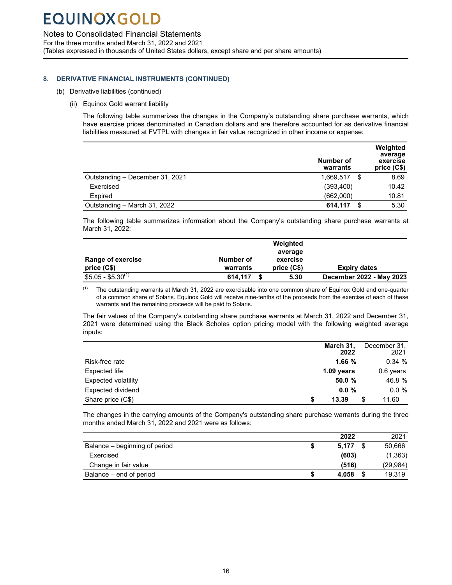Mine

### Notes to Consolidated Financial Statements

For the three months ended March 31, 2022 and 2021 (Tables expressed in thousands of United States dollars, except share and per share amounts)

#### **8. DERIVATIVE FINANCIAL INSTRUMENTS (CONTINUED)**

- (b) Derivative liabilities (continued)
	- (ii) Equinox Gold warrant liability

The following table summarizes the changes in the Company's outstanding share purchase warrants, which have exercise prices denominated in Canadian dollars and are therefore accounted for as derivative financial liabilities measured at FVTPL with changes in fair value recognized in other income or expense:

|                                 | Number of<br>warrants |      | Weighted<br>average<br>exercise<br>price (C\$) |
|---------------------------------|-----------------------|------|------------------------------------------------|
| Outstanding - December 31, 2021 | 1,669,517             | - \$ | 8.69                                           |
| Exercised                       | (393, 400)            |      | 10.42                                          |
| Expired                         | (662,000)             |      | 10.81                                          |
| Outstanding - March 31, 2022    | 614,117               |      | 5.30                                           |

The following table summarizes information about the Company's outstanding share purchase warrants at March 31, 2022:

|                          |           | Weighted    |                          |
|--------------------------|-----------|-------------|--------------------------|
|                          |           | average     |                          |
| <b>Range of exercise</b> | Number of | exercise    |                          |
| price (C\$)              | warrants  | price (C\$) | <b>Expiry dates</b>      |
| $$5.05 - $5.30^{(1)}$    | 614.117   | 5.30        | December 2022 - May 2023 |

 $(1)$  The outstanding warrants at March 31, 2022 are exercisable into one common share of Equinox Gold and one-quarter of a common share of Solaris. Equinox Gold will receive nine-tenths of the proceeds from the exercise of each of these warrants and the remaining proceeds will be paid to Solaris.

The fair values of the Company's outstanding share purchase warrants at March 31, 2022 and December 31, 2021 were determined using the Black Scholes option pricing model with the following weighted average inputs:

|                            | March 31,<br>2022 | December 31,<br>2021 |
|----------------------------|-------------------|----------------------|
| Risk-free rate             | 1.66%             | 0.34%                |
| Expected life              | $1.09$ years      | 0.6 years            |
| <b>Expected volatility</b> | 50.0%             | 46.8 %               |
| Expected dividend          | 0.0%              | $0.0 \%$             |
| Share price (C\$)          | \$<br>13.39       | \$<br>11.60          |

The changes in the carrying amounts of the Company's outstanding share purchase warrants during the three months ended March 31, 2022 and 2021 were as follows:

|                               | 2022  | 2021         |
|-------------------------------|-------|--------------|
| Balance – beginning of period | 5.177 | 50.666       |
| Exercised                     | (603) | (1, 363)     |
| Change in fair value          | (516) | (29, 984)    |
| Balance – end of period       | 4.058 | \$<br>19.319 |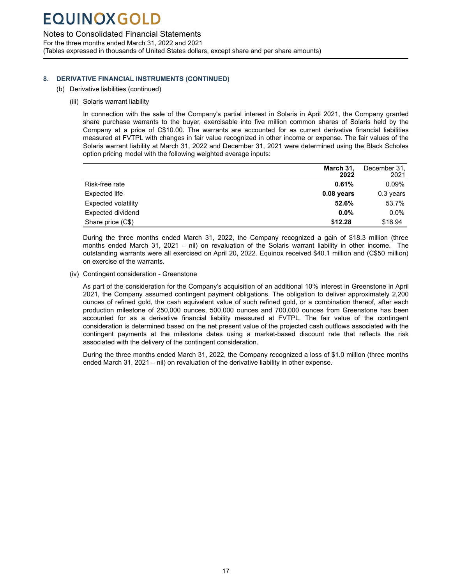Mine

### <span id="page-16-0"></span>Notes to Consolidated Financial Statements

For the three months ended March 31, 2022 and 2021 (Tables expressed in thousands of United States dollars, except share and per share amounts)

### **8. DERIVATIVE FINANCIAL INSTRUMENTS (CONTINUED)**

- (b) Derivative liabilities (continued)
	- (iii) Solaris warrant liability

In connection with the sale of the Company's partial interest in Solaris in April 2021, the Company granted share purchase warrants to the buyer, exercisable into five million common shares of Solaris held by the Company at a price of C\$10.00. The warrants are accounted for as current derivative financial liabilities measured at FVTPL with changes in fair value recognized in other income or expense. The fair values of the Solaris warrant liability at March 31, 2022 and December 31, 2021 were determined using the Black Scholes option pricing model with the following weighted average inputs:

|                     | March 31,<br>2022 | December 31,<br>2021 |
|---------------------|-------------------|----------------------|
| Risk-free rate      | 0.61%             | $0.09\%$             |
| Expected life       | $0.08$ years      | $0.3$ years          |
| Expected volatility | 52.6%             | 53.7%                |
| Expected dividend   | $0.0\%$           | $0.0\%$              |
| Share price (C\$)   | \$12.28           | \$16.94              |

During the three months ended March 31, 2022, the Company recognized a gain of \$18.3 million (three months ended March 31, 2021 – nil) on revaluation of the Solaris warrant liability in other income. The outstanding warrants were all exercised on April 20, 2022. Equinox received \$40.1 million and (C\$50 million) on exercise of the warrants.

(iv) Contingent consideration - Greenstone

As part of the consideration for the Company's acquisition of an additional 10% interest in Greenstone in April 2021, the Company assumed contingent payment obligations. The obligation to deliver approximately 2,200 ounces of refined gold, the cash equivalent value of such refined gold, or a combination thereof, after each production milestone of 250,000 ounces, 500,000 ounces and 700,000 ounces from Greenstone has been accounted for as a derivative financial liability measured at FVTPL. The fair value of the contingent consideration is determined based on the net present value of the projected cash outflows associated with the contingent payments at the milestone dates using a market-based discount rate that reflects the risk associated with the delivery of the contingent consideration.

During the three months ended March 31, 2022, the Company recognized a loss of \$1.0 million (three months ended March 31, 2021 – nil) on revaluation of the derivative liability in other expense.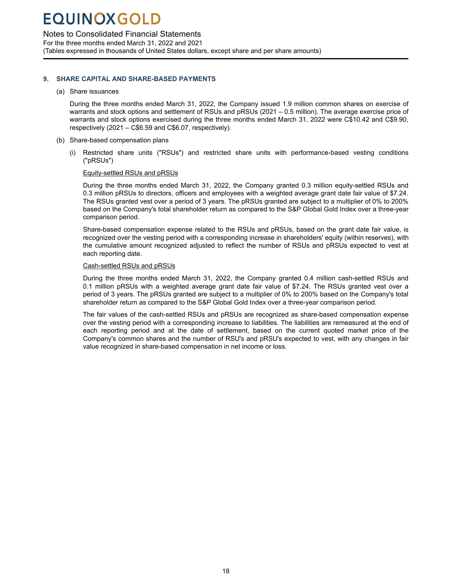Notes to Consolidated Financial Statements

For the three months ended March 31, 2022 and 2021 (Tables expressed in thousands of United States dollars, except share and per share amounts)

#### **9. SHARE CAPITAL AND SHARE-BASED PAYMENTS**

#### (a) Share issuances

Mine

During the three months ended March 31, 2022, the Company issued 1.9 million common shares on exercise of warrants and stock options and settlement of RSUs and pRSUs (2021 – 0.5 million). The average exercise price of warrants and stock options exercised during the three months ended March 31, 2022 were C\$10.42 and C\$9.90, respectively (2021 – C\$6.59 and C\$6.07, respectively).

- (b) Share-based compensation plans
	- (i) Restricted share units ("RSUs") and restricted share units with performance-based vesting conditions ("pRSUs")

#### Equity-settled RSUs and pRSUs

During the three months ended March 31, 2022, the Company granted 0.3 million equity-settled RSUs and 0.3 million pRSUs to directors, officers and employees with a weighted average grant date fair value of \$7.24. The RSUs granted vest over a period of 3 years. The pRSUs granted are subject to a multiplier of 0% to 200% based on the Company's total shareholder return as compared to the S&P Global Gold Index over a three-year comparison period.

Share-based compensation expense related to the RSUs and pRSUs, based on the grant date fair value, is recognized over the vesting period with a corresponding increase in shareholders' equity (within reserves), with the cumulative amount recognized adjusted to reflect the number of RSUs and pRSUs expected to vest at each reporting date.

#### Cash-settled RSUs and pRSUs

During the three months ended March 31, 2022, the Company granted 0.4 million cash-settled RSUs and 0.1 million pRSUs with a weighted average grant date fair value of \$7.24. The RSUs granted vest over a period of 3 years. The pRSUs granted are subject to a multiplier of 0% to 200% based on the Company's total shareholder return as compared to the S&P Global Gold Index over a three-year comparison period.

The fair values of the cash-settled RSUs and pRSUs are recognized as share-based compensation expense over the vesting period with a corresponding increase to liabilities. The liabilities are remeasured at the end of each reporting period and at the date of settlement, based on the current quoted market price of the Company's common shares and the number of RSU's and pRSU's expected to vest, with any changes in fair value recognized in share-based compensation in net income or loss.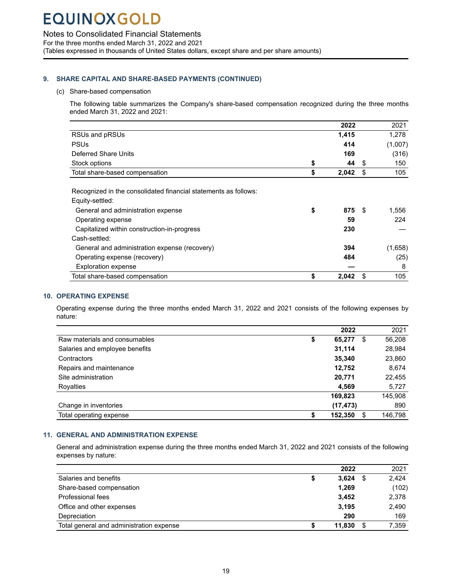<span id="page-18-0"></span>Notes to Consolidated Financial Statements

For the three months ended March 31, 2022 and 2021 (Tables expressed in thousands of United States dollars, except share and per share amounts)

#### **9. SHARE CAPITAL AND SHARE-BASED PAYMENTS (CONTINUED)**

#### (c) Share-based compensation

Mine

The following table summarizes the Company's share-based compensation recognized during the three months ended March 31, 2022 and 2021:

|                                                                 | 2022        |    | 2021    |
|-----------------------------------------------------------------|-------------|----|---------|
| RSUs and pRSUs                                                  | 1,415       |    | 1,278   |
| <b>PSUs</b>                                                     | 414         |    | (1,007) |
| Deferred Share Units                                            | 169         |    | (316)   |
| Stock options                                                   | \$<br>44    | \$ | 150     |
| Total share-based compensation                                  | \$<br>2,042 | \$ | 105     |
|                                                                 |             |    |         |
| Recognized in the consolidated financial statements as follows: |             |    |         |
| Equity-settled:                                                 |             |    |         |
| General and administration expense                              | \$<br>875   | -S | 1,556   |
| Operating expense                                               | 59          |    | 224     |
| Capitalized within construction-in-progress                     | 230         |    |         |
| Cash-settled:                                                   |             |    |         |
| General and administration expense (recovery)                   | 394         |    | (1,658) |
| Operating expense (recovery)                                    | 484         |    | (25)    |
| <b>Exploration expense</b>                                      |             |    | 8       |
| Total share-based compensation                                  | \$<br>2,042 | \$ | 105     |

#### **10. OPERATING EXPENSE**

Operating expense during the three months ended March 31, 2022 and 2021 consists of the following expenses by nature:

|                                | 2022          | 2021          |
|--------------------------------|---------------|---------------|
| Raw materials and consumables  | \$<br>65,277  | \$<br>56,208  |
| Salaries and employee benefits | 31,114        | 28,984        |
| Contractors                    | 35,340        | 23,860        |
| Repairs and maintenance        | 12.752        | 8,674         |
| Site administration            | 20,771        | 22,455        |
| Royalties                      | 4.569         | 5,727         |
|                                | 169,823       | 145,908       |
| Change in inventories          | (17, 473)     | 890           |
| Total operating expense        | \$<br>152,350 | \$<br>146,798 |

### **11. GENERAL AND ADMINISTRATION EXPENSE**

General and administration expense during the three months ended March 31, 2022 and 2021 consists of the following expenses by nature:

|                                          | 2022        | 2021  |
|------------------------------------------|-------------|-------|
| Salaries and benefits                    | \$<br>3,624 | 2.424 |
| Share-based compensation                 | 1.269       | (102) |
| Professional fees                        | 3.452       | 2,378 |
| Office and other expenses                | 3,195       | 2,490 |
| Depreciation                             | 290         | 169   |
| Total general and administration expense | 11.830      | 7,359 |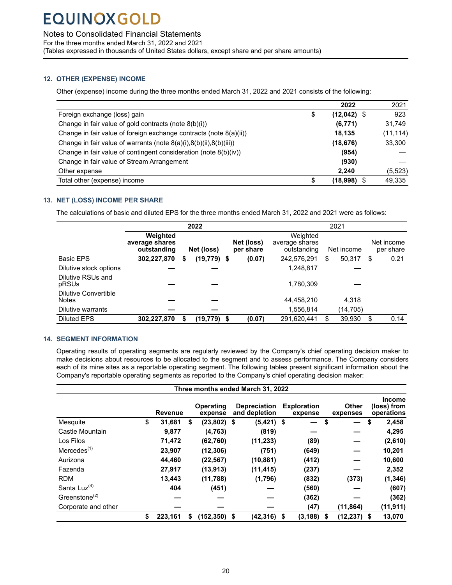### <span id="page-19-0"></span>Notes to Consolidated Financial Statements

For the three months ended March 31, 2022 and 2021

(Tables expressed in thousands of United States dollars, except share and per share amounts)

#### **12. OTHER (EXPENSE) INCOME**

Mine

Other (expense) income during the three months ended March 31, 2022 and 2021 consists of the following:

|                                                                    | 2022                | 2021      |
|--------------------------------------------------------------------|---------------------|-----------|
| Foreign exchange (loss) gain                                       | \$<br>$(12,042)$ \$ | 923       |
| Change in fair value of gold contracts (note 8(b)(i))              | (6,771)             | 31,749    |
| Change in fair value of foreign exchange contracts (note 8(a)(ii)) | 18.135              | (11, 114) |
| Change in fair value of warrants (note 8(a)(i),8(b)(ii),8(b)(iii)) | (18, 676)           | 33,300    |
| Change in fair value of contingent consideration (note 8(b)(iv))   | (954)               |           |
| Change in fair value of Stream Arrangement                         | (930)               |           |
| Other expense                                                      | 2.240               | (5, 523)  |
| Total other (expense) income                                       | \$<br>$(18,998)$ \$ | 49.335    |

#### **13. NET (LOSS) INCOME PER SHARE**

The calculations of basic and diluted EPS for the three months ended March 31, 2022 and 2021 were as follows:

|                                      |                                           |    | 2022           |    |        | 2021        |                         |                                           |    |            |  |                         |
|--------------------------------------|-------------------------------------------|----|----------------|----|--------|-------------|-------------------------|-------------------------------------------|----|------------|--|-------------------------|
|                                      | Weighted<br>average shares<br>outstanding |    | Net (loss)     |    |        |             | Net (loss)<br>per share | Weighted<br>average shares<br>outstanding |    | Net income |  | Net income<br>per share |
| <b>Basic EPS</b>                     | 302,227,870                               | \$ | $(19, 779)$ \$ |    | (0.07) | 242,576,291 | \$                      | 50,317                                    | \$ | 0.21       |  |                         |
| Dilutive stock options               |                                           |    |                |    |        | 1,248,817   |                         |                                           |    |            |  |                         |
| Dilutive RSUs and<br>pRSUs           |                                           |    |                |    |        | 1,780,309   |                         |                                           |    |            |  |                         |
| Dilutive Convertible<br><b>Notes</b> |                                           |    |                |    |        | 44,458,210  |                         | 4,318                                     |    |            |  |                         |
| Dilutive warrants                    |                                           |    |                |    |        | 1,556,814   |                         | (14,705)                                  |    |            |  |                         |
| <b>Diluted EPS</b>                   | 302,227,870                               |    | (19, 779)      | \$ | (0.07) | 291,620,441 | \$                      | 39,930                                    | S  | 0.14       |  |                         |

### **14. SEGMENT INFORMATION**

Operating results of operating segments are regularly reviewed by the Company's chief operating decision maker to make decisions about resources to be allocated to the segment and to assess performance. The Company considers each of its mine sites as a reportable operating segment. The following tables present significant information about the Company's reportable operating segments as reported to the Company's chief operating decision maker:

|                                        |                |    |                             |     | Three months ended March 31, 2022    |                               |                          |                                            |
|----------------------------------------|----------------|----|-----------------------------|-----|--------------------------------------|-------------------------------|--------------------------|--------------------------------------------|
|                                        | <b>Revenue</b> |    | <b>Operating</b><br>expense |     | <b>Depreciation</b><br>and depletion | <b>Exploration</b><br>expense | <b>Other</b><br>expenses | <b>Income</b><br>(loss) from<br>operations |
| Mesquite                               | \$<br>31,681   | \$ | $(23,802)$ \$               |     | $(5,421)$ \$                         |                               | \$                       | \$<br>2,458                                |
| Castle Mountain                        | 9,877          |    | (4, 763)                    |     | (819)                                |                               |                          | 4,295                                      |
| Los Filos                              | 71,472         |    | (62, 760)                   |     | (11, 233)                            | (89)                          |                          | (2,610)                                    |
| $M$ ercedes $(1)$                      | 23,907         |    | (12, 306)                   |     | (751)                                | (649)                         |                          | 10,201                                     |
| Aurizona                               | 44,460         |    | (22, 567)                   |     | (10, 881)                            | (412)                         |                          | 10,600                                     |
| Fazenda                                | 27,917         |    | (13, 913)                   |     | (11, 415)                            | (237)                         |                          | 2,352                                      |
| <b>RDM</b>                             | 13,443         |    | (11,788)                    |     | (1,796)                              | (832)                         | (373)                    | (1, 346)                                   |
| Santa Luz $(4)$                        | 404            |    | (451)                       |     |                                      | (560)                         |                          | (607)                                      |
| Greenstone <sup><math>(2)</math></sup> |                |    |                             |     |                                      | (362)                         |                          | (362)                                      |
| Corporate and other                    |                |    |                             |     |                                      | (47)                          | (11, 864)                | (11, 911)                                  |
|                                        | \$<br>223.161  | S  | (152.350)                   | -\$ | (42,316)                             | \$<br>(3, 188)                | \$<br>$(12, 237)$ \$     | 13,070                                     |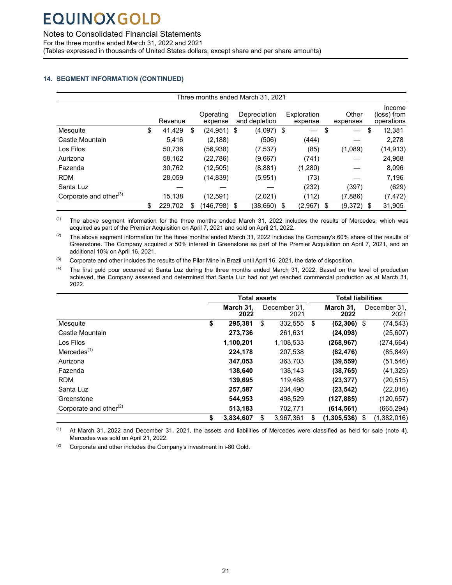Mine

Notes to Consolidated Financial Statements

For the three months ended March 31, 2022 and 2021

(Tables expressed in thousands of United States dollars, except share and per share amounts)

### **14. SEGMENT INFORMATION (CONTINUED)**

|                                    |               |   |                      | Three months ended March 31, 2021 |                        |                   |      |                                     |
|------------------------------------|---------------|---|----------------------|-----------------------------------|------------------------|-------------------|------|-------------------------------------|
|                                    | Revenue       |   | Operating<br>expense | Depreciation<br>and depletion     | Exploration<br>expense | Other<br>expenses |      | Income<br>(loss) from<br>operations |
| Mesquite                           | \$<br>41,429  | S | $(24.951)$ \$        | (4,097) \$                        |                        | \$                | S    | 12,381                              |
| Castle Mountain                    | 5,416         |   | (2, 188)             | (506)                             | (444)                  |                   |      | 2,278                               |
| Los Filos                          | 50,736        |   | (56,938)             | (7, 537)                          | (85)                   | (1,089)           |      | (14, 913)                           |
| Aurizona                           | 58,162        |   | (22, 786)            | (9,667)                           | (741)                  |                   |      | 24,968                              |
| Fazenda                            | 30,762        |   | (12, 505)            | (8,881)                           | (1,280)                |                   |      | 8,096                               |
| <b>RDM</b>                         | 28.059        |   | (14, 839)            | (5,951)                           | (73)                   |                   |      | 7,196                               |
| Santa Luz                          |               |   |                      |                                   | (232)                  | (397)             |      | (629)                               |
| Corporate and other <sup>(3)</sup> | 15,138        |   | (12,591)             | (2,021)                           | (112)                  | (7,886)           |      | (7, 472)                            |
|                                    | \$<br>229,702 |   | (146,798)            | \$<br>(38,660)                    | \$<br>(2,967)          | \$<br>(9,372)     | - \$ | 31,905                              |

 $(1)$  The above segment information for the three months ended March 31, 2022 includes the results of Mercedes, which was acquired as part of the Premier Acquisition on April 7, 2021 and sold on April 21, 2022.

<sup>(2)</sup> The above segment information for the three months ended March 31, 2022 includes the Company's 60% share of the results of Greenstone. The Company acquired a 50% interest in Greenstone as part of the Premier Acquisition on April 7, 2021, and an additional 10% on April 16, 2021.

 $^{(3)}$  Corporate and other includes the results of the Pilar Mine in Brazil until April 16, 2021, the date of disposition.

<sup>(4)</sup> The first gold pour occurred at Santa Luz during the three months ended March 31, 2022. Based on the level of production achieved, the Company assessed and determined that Santa Luz had not yet reached commercial production as at March 31, 2022.

|                                    | <b>Total assets</b> |                      | <b>Total liabilities</b> |    |                      |  |
|------------------------------------|---------------------|----------------------|--------------------------|----|----------------------|--|
|                                    | March 31,<br>2022   | December 31.<br>2021 | March 31.<br>2022        |    | December 31.<br>2021 |  |
| Mesquite                           | \$<br>295,381       | \$<br>332,555        | \$<br>$(62, 306)$ \$     |    | (74, 543)            |  |
| Castle Mountain                    | 273,736             | 261,631              | (24,098)                 |    | (25,607)             |  |
| Los Filos                          | 1,100,201           | 1,108,533            | (268, 967)               |    | (274,664)            |  |
| $M$ ercedes $(1)$                  | 224,178             | 207,538              | (82, 476)                |    | (85, 849)            |  |
| Aurizona                           | 347.053             | 363.703              | (39,559)                 |    | (51, 546)            |  |
| Fazenda                            | 138,640             | 138,143              | (38,765)                 |    | (41, 325)            |  |
| <b>RDM</b>                         | 139,695             | 119,468              | (23, 377)                |    | (20, 515)            |  |
| Santa Luz                          | 257,587             | 234,490              | (23, 542)                |    | (22,016)             |  |
| Greenstone                         | 544.953             | 498,529              | (127, 885)               |    | (120,657)            |  |
| Corporate and other <sup>(2)</sup> | 513.183             | 702,771              | (614, 561)               |    | (665,294)            |  |
|                                    | \$<br>3.834.607     | \$<br>3.967.361      | \$<br>(1,305,536)        | \$ | (1,382,016)          |  |

 $(1)$  At March 31, 2022 and December 31, 2021, the assets and liabilities of Mercedes were classified as held for sale (note 4). Mercedes was sold on April 21, 2022.

 $(2)$  Corporate and other includes the Company's investment in i-80 Gold.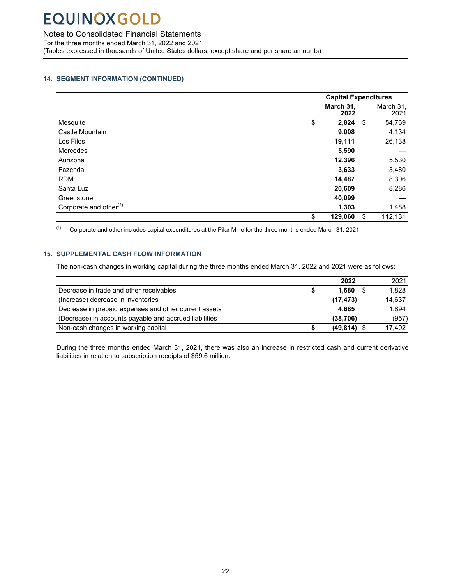Mine

<span id="page-21-0"></span>Notes to Consolidated Financial Statements

For the three months ended March 31, 2022 and 2021 (Tables expressed in thousands of United States dollars, except share and per share amounts)

### **14. SEGMENT INFORMATION (CONTINUED)**

|                                    | <b>Capital Expenditures</b> |                   |
|------------------------------------|-----------------------------|-------------------|
|                                    | March 31,<br>2022           | March 31,<br>2021 |
| Mesquite                           | \$<br>2,824                 | \$<br>54,769      |
| Castle Mountain                    | 9,008                       | 4,134             |
| Los Filos                          | 19,111                      | 26,138            |
| <b>Mercedes</b>                    | 5,590                       |                   |
| Aurizona                           | 12,396                      | 5,530             |
| Fazenda                            | 3,633                       | 3,480             |
| <b>RDM</b>                         | 14,487                      | 8,306             |
| Santa Luz                          | 20,609                      | 8,286             |
| Greenstone                         | 40,099                      |                   |
| Corporate and other <sup>(2)</sup> | 1,303                       | 1,488             |
|                                    | \$<br>129,060               | \$<br>112,131     |

 $(1)$  Corporate and other includes capital expenditures at the Pilar Mine for the three months ended March 31, 2021.

#### **15. SUPPLEMENTAL CASH FLOW INFORMATION**

The non-cash changes in working capital during the three months ended March 31, 2022 and 2021 were as follows:

|                                                        |   | 2022          | 2021   |
|--------------------------------------------------------|---|---------------|--------|
| Decrease in trade and other receivables                |   | 1.680         | 1.828  |
| (Increase) decrease in inventories                     |   | (17, 473)     | 14.637 |
| Decrease in prepaid expenses and other current assets  |   | 4.685         | 1.894  |
| (Decrease) in accounts payable and accrued liabilities |   | (38.706)      | (957)  |
| Non-cash changes in working capital                    | S | $(49,814)$ \$ | 17,402 |

During the three months ended March 31, 2021, there was also an increase in restricted cash and current derivative liabilities in relation to subscription receipts of \$59.6 million.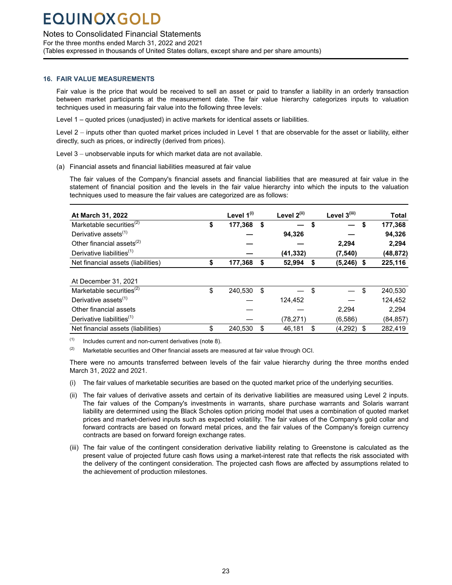### Notes to Consolidated Financial Statements

For the three months ended March 31, 2022 and 2021 (Tables expressed in thousands of United States dollars, except share and per share amounts)

#### **16. FAIR VALUE MEASUREMENTS**

Mine

Fair value is the price that would be received to sell an asset or paid to transfer a liability in an orderly transaction between market participants at the measurement date. The fair value hierarchy categorizes inputs to valuation techniques used in measuring fair value into the following three levels:

Level 1 – quoted prices (unadjusted) in active markets for identical assets or liabilities.

Level 2 – inputs other than quoted market prices included in Level 1 that are observable for the asset or liability, either directly, such as prices, or indirectly (derived from prices).

Level 3 – unobservable inputs for which market data are not available.

(a) Financial assets and financial liabilities measured at fair value

The fair values of the Company's financial assets and financial liabilities that are measured at fair value in the statement of financial position and the levels in the fair value hierarchy into which the inputs to the valuation techniques used to measure the fair values are categorized are as follows:

| At March 31, 2022                     | Level 1 <sup>(i)</sup> | Level 2(ii)  | Level 3(iii)       | <b>Total</b>  |
|---------------------------------------|------------------------|--------------|--------------------|---------------|
| Marketable securities $^{(2)}$        | \$<br>177.368          | \$           | \$                 | \$<br>177,368 |
| Derivative assets <sup>(1)</sup>      |                        | 94,326       |                    | 94,326        |
| Other financial assets $(2)$          |                        |              | 2.294              | 2,294         |
| Derivative liabilities <sup>(1)</sup> |                        | (41, 332)    | (7, 540)           | (48, 872)     |
| Net financial assets (liabilities)    | \$<br>177,368          | \$<br>52,994 | \$<br>$(5,246)$ \$ | 225,116       |
| At December 31, 2021                  |                        |              |                    |               |
| Marketable securities $^{(2)}$        | \$<br>240.530          | \$           | \$                 | \$<br>240,530 |
| Derivative assets <sup>(1)</sup>      |                        | 124.452      |                    | 124,452       |
| Other financial assets                |                        |              | 2.294              | 2,294         |
| Derivative liabilities <sup>(1)</sup> |                        | (78, 271)    | (6,586)            | (84, 857)     |
| Net financial assets (liabilities)    | \$<br>240.530          | \$<br>46,181 | \$<br>$(4,292)$ \$ | 282.419       |

 $(1)$  Includes current and non-current derivatives (note 8).

 $(2)$  Marketable securities and Other financial assets are measured at fair value through OCI.

There were no amounts transferred between levels of the fair value hierarchy during the three months ended March 31, 2022 and 2021.

- (i) The fair values of marketable securities are based on the quoted market price of the underlying securities.
- (ii) The fair values of derivative assets and certain of its derivative liabilities are measured using Level 2 inputs. The fair values of the Company's investments in warrants, share purchase warrants and Solaris warrant liability are determined using the Black Scholes option pricing model that uses a combination of quoted market prices and market-derived inputs such as expected volatility. The fair values of the Company's gold collar and forward contracts are based on forward metal prices, and the fair values of the Company's foreign currency contracts are based on forward foreign exchange rates.
- (iii) The fair value of the contingent consideration derivative liability relating to Greenstone is calculated as the present value of projected future cash flows using a market-interest rate that reflects the risk associated with the delivery of the contingent consideration. The projected cash flows are affected by assumptions related to the achievement of production milestones.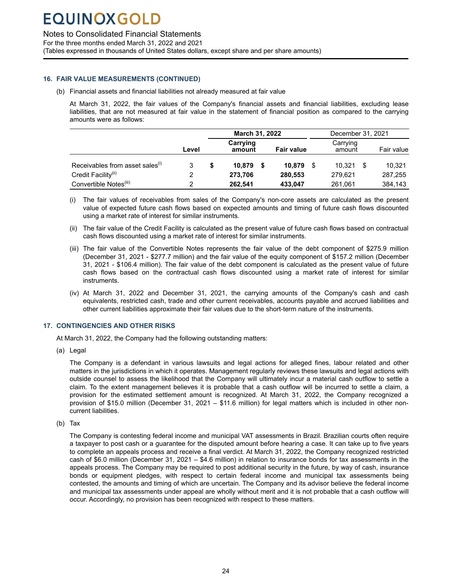Mine

### <span id="page-23-0"></span>Notes to Consolidated Financial Statements

For the three months ended March 31, 2022 and 2021

(Tables expressed in thousands of United States dollars, except share and per share amounts)

#### **16. FAIR VALUE MEASUREMENTS (CONTINUED)**

(b) Financial assets and financial liabilities not already measured at fair value

At March 31, 2022, the fair values of the Company's financial assets and financial liabilities, excluding lease liabilities, that are not measured at fair value in the statement of financial position as compared to the carrying amounts were as follows:

|                                             |       | March 31, 2022     |                   |    | December 31, 2021  |              |  |
|---------------------------------------------|-------|--------------------|-------------------|----|--------------------|--------------|--|
|                                             | Level | Carrying<br>amount | <b>Fair value</b> |    | Carrying<br>amount | Fair value   |  |
| Receivables from asset sales <sup>(1)</sup> |       | 10.879<br>\$       | 10.879            | -S | 10.321             | 10.321<br>-S |  |
| Credit Facility <sup>(ii)</sup>             |       | 273,706            | 280,553           |    | 279,621            | 287,255      |  |
| Convertible Notes <sup>(iii)</sup>          |       | 262,541            | 433,047           |    | 261.061            | 384.143      |  |

- (i) The fair values of receivables from sales of the Company's non-core assets are calculated as the present value of expected future cash flows based on expected amounts and timing of future cash flows discounted using a market rate of interest for similar instruments.
- (ii) The fair value of the Credit Facility is calculated as the present value of future cash flows based on contractual cash flows discounted using a market rate of interest for similar instruments.
- (iii) The fair value of the Convertible Notes represents the fair value of the debt component of \$275.9 million (December 31, 2021 - \$277.7 million) and the fair value of the equity component of \$157.2 million (December 31, 2021 - \$106.4 million). The fair value of the debt component is calculated as the present value of future cash flows based on the contractual cash flows discounted using a market rate of interest for similar instruments.
- (iv) At March 31, 2022 and December 31, 2021, the carrying amounts of the Company's cash and cash equivalents, restricted cash, trade and other current receivables, accounts payable and accrued liabilities and other current liabilities approximate their fair values due to the short-term nature of the instruments.

### **17. CONTINGENCIES AND OTHER RISKS**

At March 31, 2022, the Company had the following outstanding matters:

(a) Legal

The Company is a defendant in various lawsuits and legal actions for alleged fines, labour related and other matters in the jurisdictions in which it operates. Management regularly reviews these lawsuits and legal actions with outside counsel to assess the likelihood that the Company will ultimately incur a material cash outflow to settle a claim. To the extent management believes it is probable that a cash outflow will be incurred to settle a claim, a provision for the estimated settlement amount is recognized. At March 31, 2022, the Company recognized a provision of \$15.0 million (December 31, 2021 – \$11.6 million) for legal matters which is included in other noncurrent liabilities.

(b) Tax

The Company is contesting federal income and municipal VAT assessments in Brazil. Brazilian courts often require a taxpayer to post cash or a guarantee for the disputed amount before hearing a case. It can take up to five years to complete an appeals process and receive a final verdict. At March 31, 2022, the Company recognized restricted cash of \$6.0 million (December 31, 2021 – \$4.6 million) in relation to insurance bonds for tax assessments in the appeals process. The Company may be required to post additional security in the future, by way of cash, insurance bonds or equipment pledges, with respect to certain federal income and municipal tax assessments being contested, the amounts and timing of which are uncertain. The Company and its advisor believe the federal income and municipal tax assessments under appeal are wholly without merit and it is not probable that a cash outflow will occur. Accordingly, no provision has been recognized with respect to these matters.